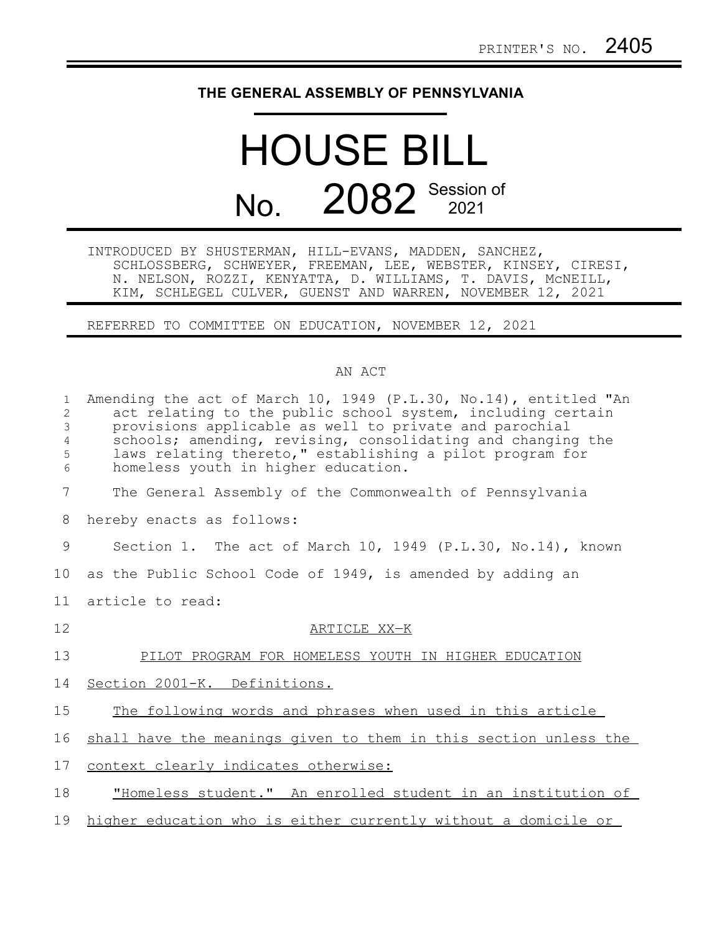## **THE GENERAL ASSEMBLY OF PENNSYLVANIA**

## HOUSE BILL No. 2082 Session of

INTRODUCED BY SHUSTERMAN, HILL-EVANS, MADDEN, SANCHEZ, SCHLOSSBERG, SCHWEYER, FREEMAN, LEE, WEBSTER, KINSEY, CIRESI, N. NELSON, ROZZI, KENYATTA, D. WILLIAMS, T. DAVIS, McNEILL, KIM, SCHLEGEL CULVER, GUENST AND WARREN, NOVEMBER 12, 2021

REFERRED TO COMMITTEE ON EDUCATION, NOVEMBER 12, 2021

## AN ACT

| $\mathbf{1}$<br>2<br>3<br>4 | Amending the act of March 10, 1949 (P.L.30, No.14), entitled "An<br>act relating to the public school system, including certain<br>provisions applicable as well to private and parochial<br>schools; amending, revising, consolidating and changing the |
|-----------------------------|----------------------------------------------------------------------------------------------------------------------------------------------------------------------------------------------------------------------------------------------------------|
| 5<br>$\sqrt{6}$             | laws relating thereto," establishing a pilot program for<br>homeless youth in higher education.                                                                                                                                                          |
| 7                           | The General Assembly of the Commonwealth of Pennsylvania                                                                                                                                                                                                 |
| 8                           | hereby enacts as follows:                                                                                                                                                                                                                                |
| 9                           | Section 1. The act of March 10, 1949 (P.L.30, No.14), known                                                                                                                                                                                              |
| 10                          | as the Public School Code of 1949, is amended by adding an                                                                                                                                                                                               |
| 11                          | article to read:                                                                                                                                                                                                                                         |
| 12                          | ARTICLE XX-K                                                                                                                                                                                                                                             |
| 13                          | PILOT PROGRAM FOR HOMELESS YOUTH IN HIGHER EDUCATION                                                                                                                                                                                                     |
| 14                          | Section 2001-K. Definitions.                                                                                                                                                                                                                             |
| 15                          | The following words and phrases when used in this article                                                                                                                                                                                                |
| 16                          | shall have the meanings given to them in this section unless the                                                                                                                                                                                         |
| 17                          | context clearly indicates otherwise:                                                                                                                                                                                                                     |
| 18                          | "Homeless student." An enrolled student in an institution of                                                                                                                                                                                             |
| 19                          | higher education who is either currently without a domicile or                                                                                                                                                                                           |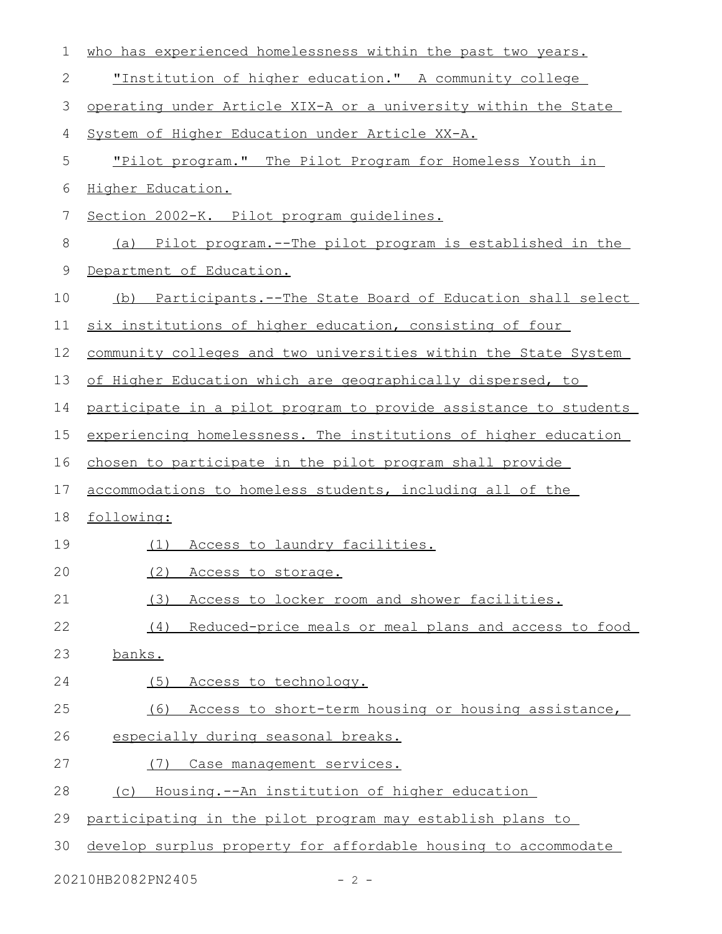| $\mathbf 1$  | who has experienced homelessness within the past two years.      |
|--------------|------------------------------------------------------------------|
| $\mathbf{2}$ | "Institution of higher education." A community college           |
| 3            | operating under Article XIX-A or a university within the State   |
| 4            | System of Higher Education under Article XX-A.                   |
| 5            | "Pilot program." The Pilot Program for Homeless Youth in         |
| 6            | Higher Education.                                                |
| 7            | Section 2002-K. Pilot program quidelines.                        |
| 8            | (a) Pilot program.--The pilot program is established in the      |
| 9            | Department of Education.                                         |
| 10           | (b) Participants.--The State Board of Education shall select     |
| 11           | six institutions of higher education, consisting of four         |
| 12           | community colleges and two universities within the State System  |
| 13           | of Higher Education which are geographically dispersed, to       |
| 14           | participate in a pilot program to provide assistance to students |
| 15           | experiencing homelessness. The institutions of higher education  |
| 16           | chosen to participate in the pilot program shall provide         |
| 17           | accommodations to homeless students, including all of the        |
| 18           | following:                                                       |
| 19           | Access to laundry facilities.<br>(1)                             |
| 20           | (2)<br>Access to storage.                                        |
| 21           | (3)<br>Access to locker room and shower facilities.              |
| 22           | Reduced-price meals or meal plans and access to food<br>(4)      |
| 23           | banks.                                                           |
| 24           | Access to technology.<br>(5)                                     |
| 25           | Access to short-term housing or housing assistance,<br>(6)       |
| 26           | especially during seasonal breaks.                               |
| 27           | Case management services.<br>(7)                                 |
| 28           | Housing.--An institution of higher education<br>(C)              |
| 29           | participating in the pilot program may establish plans to        |
| 30           | develop surplus property for affordable housing to accommodate   |

20210HB2082PN2405 - 2 -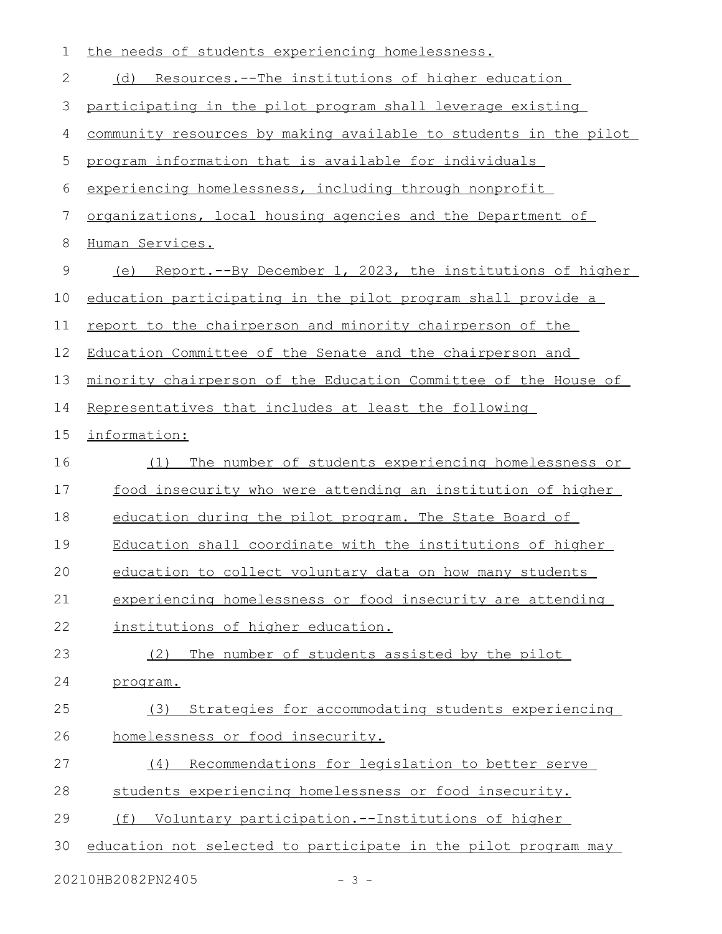| $\mathbf 1$ | the needs of students experiencing homelessness.                 |
|-------------|------------------------------------------------------------------|
| 2           | <u>Resources.--The institutions of higher education</u><br>(d)   |
| 3           | participating in the pilot program shall leverage existing       |
| 4           | community resources by making available to students in the pilot |
| 5           | program information that is available for individuals            |
| 6           | experiencing homelessness, including through nonprofit           |
| 7           | organizations, local housing agencies and the Department of      |
| 8           | Human Services.                                                  |
| $\mathsf 9$ | Report.--By December 1, 2023, the institutions of higher<br>(e)  |
| 10          | education participating in the pilot program shall provide a     |
| 11          | report to the chairperson and minority chairperson of the        |
| 12          | Education Committee of the Senate and the chairperson and        |
| 13          | minority chairperson of the Education Committee of the House of  |
| 14          | Representatives that includes at least the following             |
| 15          | information:                                                     |
| 16          | The number of students experiencing homelessness or<br>(1)       |
| 17          | food insecurity who were attending an institution of higher      |
| 18          | education during the pilot program. The State Board of           |
| 19          | Education shall coordinate with the institutions of higher       |
| 20          | education to collect voluntary data on how many students         |
| 21          | experiencing homelessness or food insecurity are attending       |
| 22          | institutions of higher education.                                |
| 23          | The number of students assisted by the pilot<br>(2)              |
| 24          | program.                                                         |
| 25          | Strategies for accommodating students experiencing<br>(3)        |
| 26          | homelessness or food insecurity.                                 |
| 27          | Recommendations for legislation to better serve<br>(4)           |
| 28          | students experiencing homelessness or food insecurity.           |
| 29          | (f) Voluntary participation.--Institutions of higher             |
| 30          | education not selected to participate in the pilot program may   |